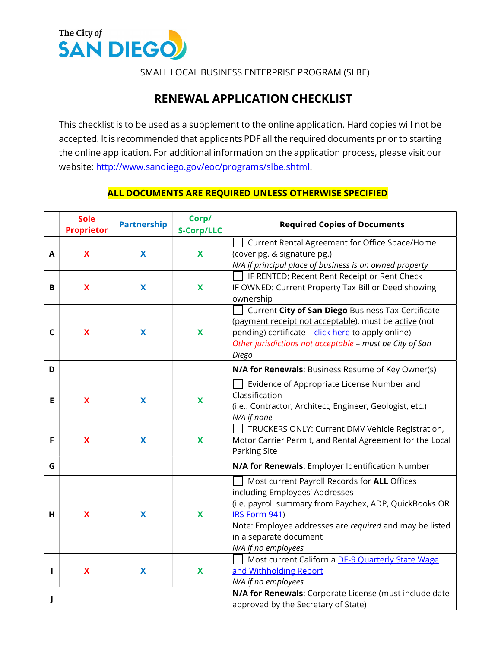

SMALL LOCAL BUSINESS ENTERPRISE PROGRAM (SLBE)

## RENEWAL APPLICATION CHECKLIST

This checklist is to be used as a supplement to the online application. Hard copies will not be accepted. It is recommended that applicants PDF all the required documents prior to starting the online application. For additional information on the application process, please visit our website: http://www.sandiego.gov/eoc/programs/slbe.shtml.

## ALL DOCUMENTS ARE REQUIRED UNLESS OTHERWISE SPECIFIED

|              | <b>Sole</b><br><b>Proprietor</b> | <b>Partnership</b> | Corp/<br><b>S-Corp/LLC</b> | <b>Required Copies of Documents</b>                                                                                                                                                                                                                                   |
|--------------|----------------------------------|--------------------|----------------------------|-----------------------------------------------------------------------------------------------------------------------------------------------------------------------------------------------------------------------------------------------------------------------|
| A            | X                                | X                  | X                          | Current Rental Agreement for Office Space/Home<br>(cover pg. & signature pg.)<br>N/A if principal place of business is an owned property                                                                                                                              |
| В            | $\boldsymbol{\mathsf{X}}$        | X                  | $\mathbf x$                | IF RENTED: Recent Rent Receipt or Rent Check<br>IF OWNED: Current Property Tax Bill or Deed showing<br>ownership                                                                                                                                                      |
| $\mathsf{C}$ | $\boldsymbol{\mathsf{X}}$        | X                  | $\mathbf x$                | Current City of San Diego Business Tax Certificate<br>(payment receipt not acceptable), must be active (not<br>pending) certificate - click here to apply online)<br>Other jurisdictions not acceptable - must be City of San<br>Diego                                |
| D            |                                  |                    |                            | N/A for Renewals: Business Resume of Key Owner(s)                                                                                                                                                                                                                     |
| E            | $\mathbf x$                      | X                  | X                          | Evidence of Appropriate License Number and<br>Classification<br>(i.e.: Contractor, Architect, Engineer, Geologist, etc.)<br>N/A if none                                                                                                                               |
| F            | $\boldsymbol{\mathsf{X}}$        | X                  | X                          | <b>TRUCKERS ONLY: Current DMV Vehicle Registration,</b><br>Motor Carrier Permit, and Rental Agreement for the Local<br><b>Parking Site</b>                                                                                                                            |
| G            |                                  |                    |                            | N/A for Renewals: Employer Identification Number                                                                                                                                                                                                                      |
| H            | $\boldsymbol{\mathsf{X}}$        | X                  | X                          | Most current Payroll Records for ALL Offices<br>including Employees' Addresses<br>(i.e. payroll summary from Paychex, ADP, QuickBooks OR<br>IRS Form 941)<br>Note: Employee addresses are required and may be listed<br>in a separate document<br>N/A if no employees |
|              | $\boldsymbol{\mathsf{X}}$        | X                  | X                          | Most current California DE-9 Quarterly State Wage<br>and Withholding Report<br>N/A if no employees                                                                                                                                                                    |
| J            |                                  |                    |                            | N/A for Renewals: Corporate License (must include date<br>approved by the Secretary of State)                                                                                                                                                                         |